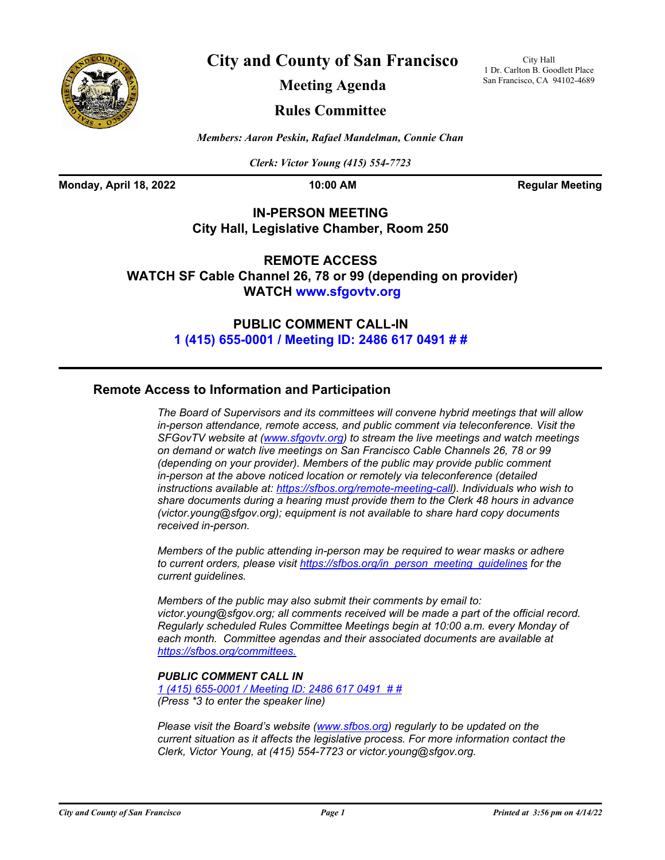

**City and County of San Francisco**

City Hall 1 Dr. Carlton B. Goodlett Place San Francisco, CA 94102-4689

**Meeting Agenda**

## **Rules Committee**

*Members: Aaron Peskin, Rafael Mandelman, Connie Chan*

*Clerk: Victor Young (415) 554-7723*

**Monday, April 18, 2022 10:00 AM Regular Meeting** 

## **IN-PERSON MEETING City Hall, Legislative Chamber, Room 250**

**REMOTE ACCESS WATCH SF Cable Channel 26, 78 or 99 (depending on provider) WATCH<www.sfgovtv.org>**

> **PUBLIC COMMENT CALL-IN [1 \(415\) 655-0001 / Meeting ID: 2486 617 0491 # #](tel:+14156550001,,24866170491#,,#)**

## **Remote Access to Information and Participation**

*The Board of Supervisors and its committees will convene hybrid meetings that will allow in-person attendance, remote access, and public comment via teleconference. Visit the SFGovTV website at (<www.sfgovtv.org>) to stream the live meetings and watch meetings on demand or watch live meetings on San Francisco Cable Channels 26, 78 or 99 (depending on your provider). Members of the public may provide public comment in-person at the above noticed location or remotely via teleconference (detailed instructions available at: [https://sfbos.org/remote-meeting-call\).](https://sfbos.org/remote-meeting-call) Individuals who wish to share documents during a hearing must provide them to the Clerk 48 hours in advance (victor.young@sfgov.org); equipment is not available to share hard copy documents received in-person.*

*Members of the public attending in-person may be required to wear masks or adhere to current orders, please visit [https://sfbos.org/in\\_person\\_meeting\\_guidelines](https://sfbos.org/in_person_meeting_guidelines) for the current guidelines.*

*Members of the public may also submit their comments by email to: victor.young@sfgov.org; all comments received will be made a part of the official record. Regularly scheduled Rules Committee Meetings begin at 10:00 a.m. every Monday of each month. Committee agendas and their associated documents are available at [https://sfbos.org/committees.](https://sfbos.org/committees)*

## *PUBLIC COMMENT CALL IN*

*[1 \(415\) 655-0001 / Meeting ID: 2486 617 0491 # #](tel:+14156550001,,24866170491#,,#) (Press \*3 to enter the speaker line)*

*Please visit the Board's website [\(www.sfbos.org\)](www.sfbos.org) regularly to be updated on the current situation as it affects the legislative process. For more information contact the Clerk, Victor Young, at (415) 554-7723 or victor.young@sfgov.org.*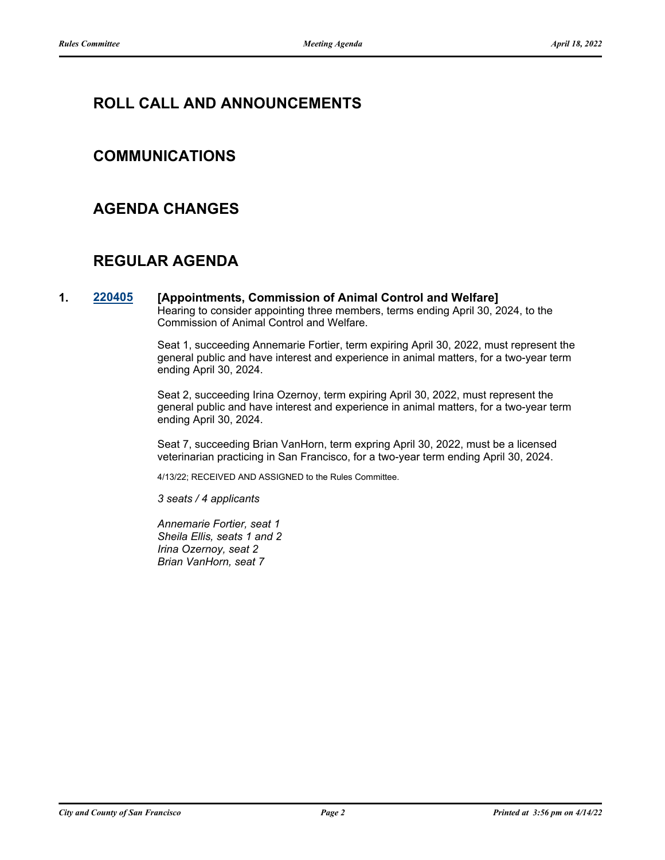# **ROLL CALL AND ANNOUNCEMENTS**

## **COMMUNICATIONS**

## **AGENDA CHANGES**

# **REGULAR AGENDA**

**1. [220405](http://sfgov.legistar.com/gateway.aspx?m=l&id=38597) [Appointments, Commission of Animal Control and Welfare]** Hearing to consider appointing three members, terms ending April 30, 2024, to the Commission of Animal Control and Welfare.

> Seat 1, succeeding Annemarie Fortier, term expiring April 30, 2022, must represent the general public and have interest and experience in animal matters, for a two-year term ending April 30, 2024.

> Seat 2, succeeding Irina Ozernoy, term expiring April 30, 2022, must represent the general public and have interest and experience in animal matters, for a two-year term ending April 30, 2024.

Seat 7, succeeding Brian VanHorn, term expring April 30, 2022, must be a licensed veterinarian practicing in San Francisco, for a two-year term ending April 30, 2024.

4/13/22; RECEIVED AND ASSIGNED to the Rules Committee.

*3 seats / 4 applicants*

*Annemarie Fortier, seat 1 Sheila Ellis, seats 1 and 2 Irina Ozernoy, seat 2 Brian VanHorn, seat 7*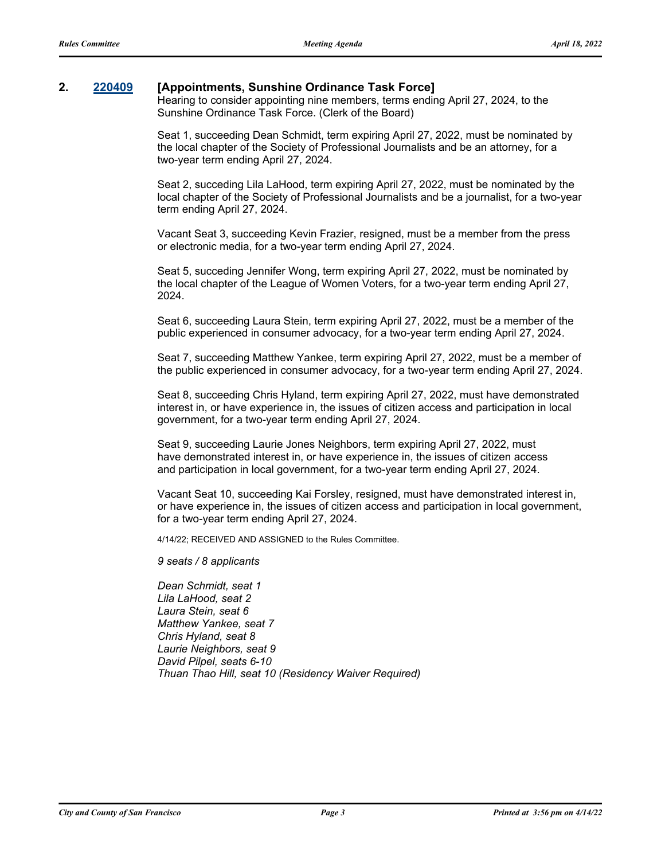## **2. [220409](http://sfgov.legistar.com/gateway.aspx?m=l&id=38601) [Appointments, Sunshine Ordinance Task Force]**

Hearing to consider appointing nine members, terms ending April 27, 2024, to the Sunshine Ordinance Task Force. (Clerk of the Board)

Seat 1, succeeding Dean Schmidt, term expiring April 27, 2022, must be nominated by the local chapter of the Society of Professional Journalists and be an attorney, for a two-year term ending April 27, 2024.

Seat 2, succeding Lila LaHood, term expiring April 27, 2022, must be nominated by the local chapter of the Society of Professional Journalists and be a journalist, for a two-year term ending April 27, 2024.

Vacant Seat 3, succeeding Kevin Frazier, resigned, must be a member from the press or electronic media, for a two-year term ending April 27, 2024.

Seat 5, succeding Jennifer Wong, term expiring April 27, 2022, must be nominated by the local chapter of the League of Women Voters, for a two-year term ending April 27, 2024.

Seat 6, succeeding Laura Stein, term expiring April 27, 2022, must be a member of the public experienced in consumer advocacy, for a two-year term ending April 27, 2024.

Seat 7, succeeding Matthew Yankee, term expiring April 27, 2022, must be a member of the public experienced in consumer advocacy, for a two-year term ending April 27, 2024.

Seat 8, succeeding Chris Hyland, term expiring April 27, 2022, must have demonstrated interest in, or have experience in, the issues of citizen access and participation in local government, for a two-year term ending April 27, 2024.

Seat 9, succeeding Laurie Jones Neighbors, term expiring April 27, 2022, must have demonstrated interest in, or have experience in, the issues of citizen access and participation in local government, for a two-year term ending April 27, 2024.

Vacant Seat 10, succeeding Kai Forsley, resigned, must have demonstrated interest in, or have experience in, the issues of citizen access and participation in local government, for a two-year term ending April 27, 2024.

4/14/22; RECEIVED AND ASSIGNED to the Rules Committee.

*9 seats / 8 applicants*

*Dean Schmidt, seat 1 Lila LaHood, seat 2 Laura Stein, seat 6 Matthew Yankee, seat 7 Chris Hyland, seat 8 Laurie Neighbors, seat 9 David Pilpel, seats 6-10 Thuan Thao Hill, seat 10 (Residency Waiver Required)*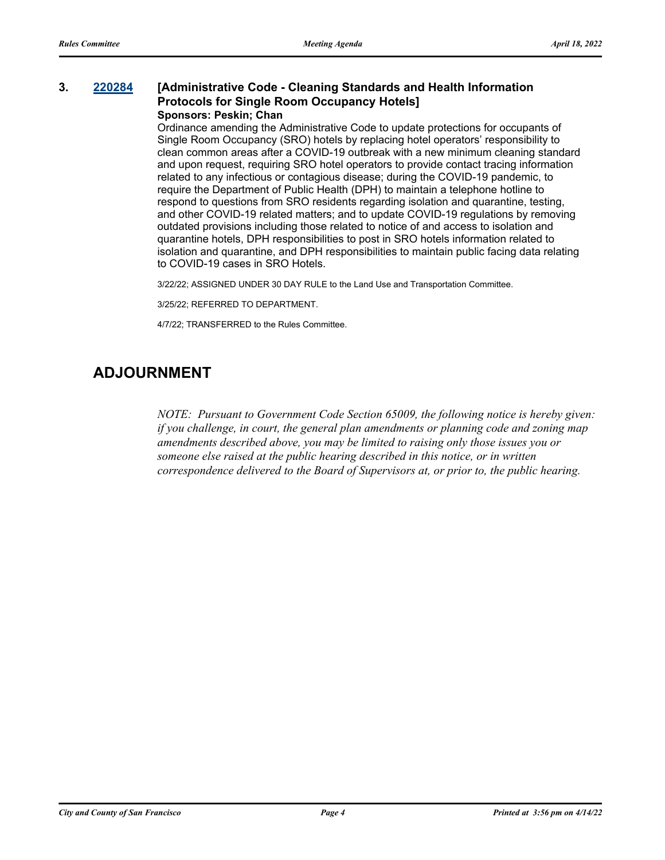#### **3. [220284](http://sfgov.legistar.com/gateway.aspx?m=l&id=38476) [Administrative Code - Cleaning Standards and Health Information Protocols for Single Room Occupancy Hotels] Sponsors: Peskin; Chan**

Ordinance amending the Administrative Code to update protections for occupants of Single Room Occupancy (SRO) hotels by replacing hotel operators' responsibility to clean common areas after a COVID-19 outbreak with a new minimum cleaning standard and upon request, requiring SRO hotel operators to provide contact tracing information related to any infectious or contagious disease; during the COVID-19 pandemic, to require the Department of Public Health (DPH) to maintain a telephone hotline to respond to questions from SRO residents regarding isolation and quarantine, testing, and other COVID-19 related matters; and to update COVID-19 regulations by removing outdated provisions including those related to notice of and access to isolation and quarantine hotels, DPH responsibilities to post in SRO hotels information related to isolation and quarantine, and DPH responsibilities to maintain public facing data relating to COVID-19 cases in SRO Hotels.

3/22/22; ASSIGNED UNDER 30 DAY RULE to the Land Use and Transportation Committee.

3/25/22; REFERRED TO DEPARTMENT.

4/7/22; TRANSFERRED to the Rules Committee.

# **ADJOURNMENT**

*NOTE: Pursuant to Government Code Section 65009, the following notice is hereby given: if you challenge, in court, the general plan amendments or planning code and zoning map amendments described above, you may be limited to raising only those issues you or someone else raised at the public hearing described in this notice, or in written correspondence delivered to the Board of Supervisors at, or prior to, the public hearing.*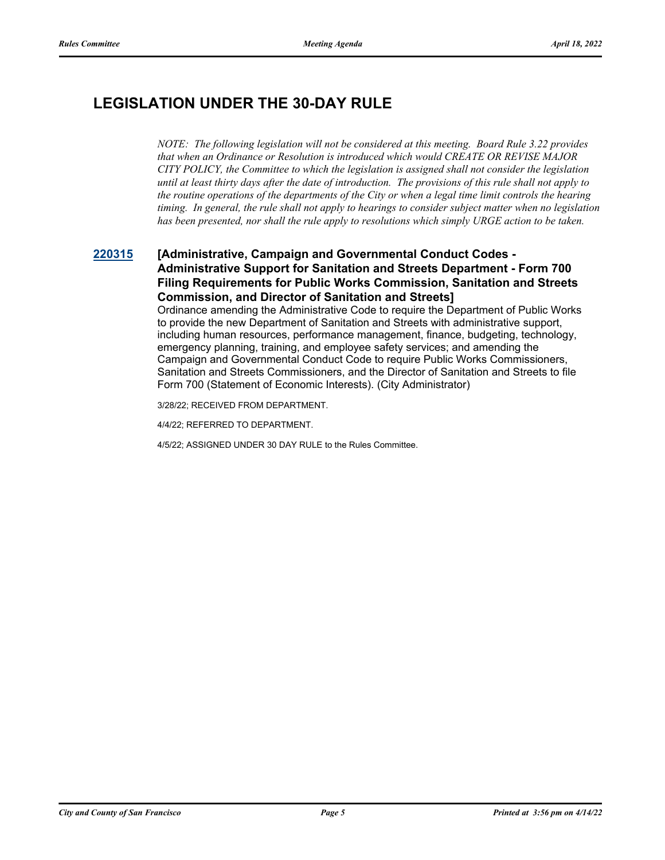# **LEGISLATION UNDER THE 30-DAY RULE**

*NOTE: The following legislation will not be considered at this meeting. Board Rule 3.22 provides that when an Ordinance or Resolution is introduced which would CREATE OR REVISE MAJOR CITY POLICY, the Committee to which the legislation is assigned shall not consider the legislation until at least thirty days after the date of introduction. The provisions of this rule shall not apply to the routine operations of the departments of the City or when a legal time limit controls the hearing timing. In general, the rule shall not apply to hearings to consider subject matter when no legislation has been presented, nor shall the rule apply to resolutions which simply URGE action to be taken.*

## **[220315](http://sfgov.legistar.com/gateway.aspx?m=l&id=38507) [Administrative, Campaign and Governmental Conduct Codes - Administrative Support for Sanitation and Streets Department - Form 700 Filing Requirements for Public Works Commission, Sanitation and Streets Commission, and Director of Sanitation and Streets]**

Ordinance amending the Administrative Code to require the Department of Public Works to provide the new Department of Sanitation and Streets with administrative support, including human resources, performance management, finance, budgeting, technology, emergency planning, training, and employee safety services; and amending the Campaign and Governmental Conduct Code to require Public Works Commissioners, Sanitation and Streets Commissioners, and the Director of Sanitation and Streets to file Form 700 (Statement of Economic Interests). (City Administrator)

3/28/22; RECEIVED FROM DEPARTMENT.

4/4/22; REFERRED TO DEPARTMENT.

4/5/22; ASSIGNED UNDER 30 DAY RULE to the Rules Committee.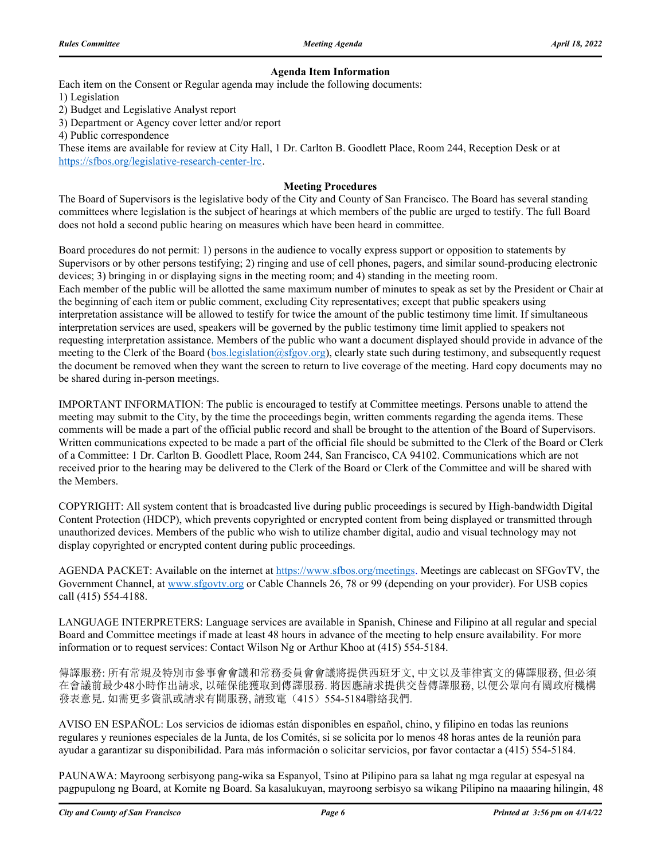#### **Agenda Item Information**

Each item on the Consent or Regular agenda may include the following documents:

1) Legislation

2) Budget and Legislative Analyst report

3) Department or Agency cover letter and/or report

4) Public correspondence

These items are available for review at City Hall, 1 Dr. Carlton B. Goodlett Place, Room 244, Reception Desk or at https://sfbos.org/legislative-research-center-lrc.

#### **Meeting Procedures**

The Board of Supervisors is the legislative body of the City and County of San Francisco. The Board has several standing committees where legislation is the subject of hearings at which members of the public are urged to testify. The full Board does not hold a second public hearing on measures which have been heard in committee.

Board procedures do not permit: 1) persons in the audience to vocally express support or opposition to statements by Supervisors or by other persons testifying; 2) ringing and use of cell phones, pagers, and similar sound-producing electronic devices; 3) bringing in or displaying signs in the meeting room; and 4) standing in the meeting room. Each member of the public will be allotted the same maximum number of minutes to speak as set by the President or Chair at the beginning of each item or public comment, excluding City representatives; except that public speakers using interpretation assistance will be allowed to testify for twice the amount of the public testimony time limit. If simultaneous interpretation services are used, speakers will be governed by the public testimony time limit applied to speakers not requesting interpretation assistance. Members of the public who want a document displayed should provide in advance of the meeting to the Clerk of the Board (bos.legislation@sfgov.org), clearly state such during testimony, and subsequently request the document be removed when they want the screen to return to live coverage of the meeting. Hard copy documents may no be shared during in-person meetings.

IMPORTANT INFORMATION: The public is encouraged to testify at Committee meetings. Persons unable to attend the meeting may submit to the City, by the time the proceedings begin, written comments regarding the agenda items. These comments will be made a part of the official public record and shall be brought to the attention of the Board of Supervisors. Written communications expected to be made a part of the official file should be submitted to the Clerk of the Board or Clerk of a Committee: 1 Dr. Carlton B. Goodlett Place, Room 244, San Francisco, CA 94102. Communications which are not received prior to the hearing may be delivered to the Clerk of the Board or Clerk of the Committee and will be shared with the Members.

COPYRIGHT: All system content that is broadcasted live during public proceedings is secured by High-bandwidth Digital Content Protection (HDCP), which prevents copyrighted or encrypted content from being displayed or transmitted through unauthorized devices. Members of the public who wish to utilize chamber digital, audio and visual technology may not display copyrighted or encrypted content during public proceedings.

AGENDA PACKET: Available on the internet at https://www.sfbos.org/meetings. Meetings are cablecast on SFGovTV, the Government Channel, at www.sfgovtv.org or Cable Channels 26, 78 or 99 (depending on your provider). For USB copies call (415) 554-4188.

LANGUAGE INTERPRETERS: Language services are available in Spanish, Chinese and Filipino at all regular and special Board and Committee meetings if made at least 48 hours in advance of the meeting to help ensure availability. For more information or to request services: Contact Wilson Ng or Arthur Khoo at (415) 554-5184.

傳譯服務: 所有常規及特別市參事會會議和常務委員會會議將提供西班牙文, 中文以及菲律賓文的傳譯服務, 但必須 在會議前最少48小時作出請求, 以確保能獲取到傳譯服務. 將因應請求提供交替傳譯服務, 以便公眾向有關政府機構 發表意見. 如需更多資訊或請求有關服務, 請致電(415)554-5184聯絡我們.

AVISO EN ESPAÑOL: Los servicios de idiomas están disponibles en español, chino, y filipino en todas las reunions regulares y reuniones especiales de la Junta, de los Comités, si se solicita por lo menos 48 horas antes de la reunión para ayudar a garantizar su disponibilidad. Para más información o solicitar servicios, por favor contactar a (415) 554-5184.

PAUNAWA: Mayroong serbisyong pang-wika sa Espanyol, Tsino at Pilipino para sa lahat ng mga regular at espesyal na pagpupulong ng Board, at Komite ng Board. Sa kasalukuyan, mayroong serbisyo sa wikang Pilipino na maaaring hilingin, 48